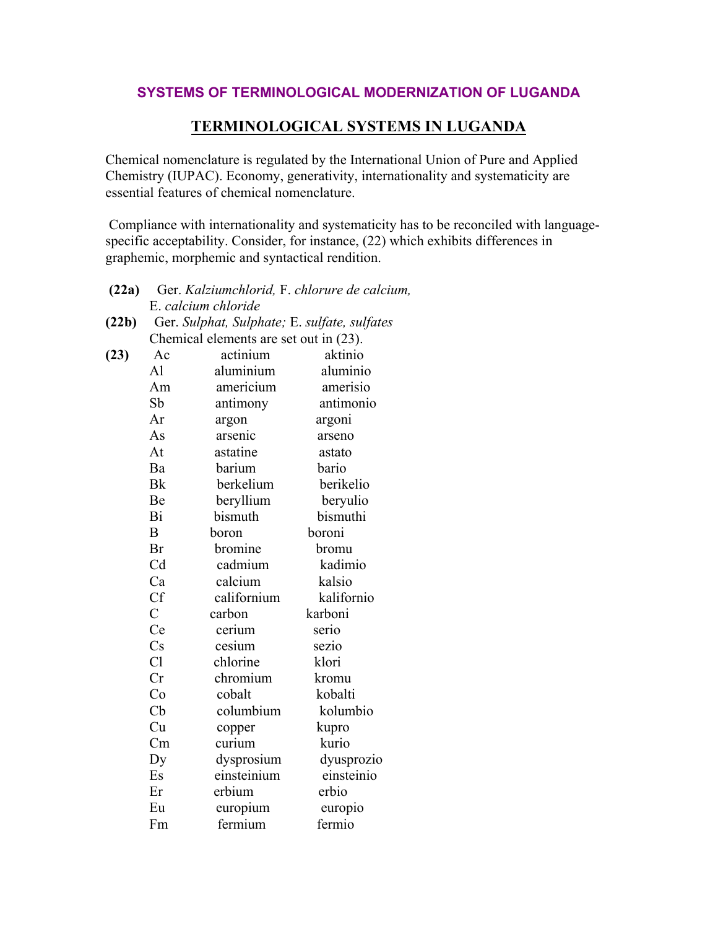## SYSTEMS OF TERMINOLOGICAL MODERNIZATION OF LUGANDA

## **TERMINOLOGICAL SYSTEMS IN LUGANDA**

Chemical nomenclature is regulated by the International Union of Pure and Applied Chemistry (IUPAC). Economy, generativity, internationality and systematicity are essential features of chemical nomenclature.

Compliance with internationality and systematicity has to be reconciled with languagespecific acceptability. Consider, for instance, (22) which exhibits differences in graphemic, morphemic and syntactical rendition.

| (22a) | Ger. Kalziumchlorid, F. chlorure de calcium, |                                        |            |  |
|-------|----------------------------------------------|----------------------------------------|------------|--|
|       | E. calcium chloride                          |                                        |            |  |
| (22b) | Ger. Sulphat, Sulphate; E. sulfate, sulfates |                                        |            |  |
|       |                                              | Chemical elements are set out in (23). |            |  |
| (23)  | Ac                                           | actinium                               | aktinio    |  |
|       | A <sup>1</sup>                               | aluminium                              | aluminio   |  |
|       | Am                                           | americium                              | amerisio   |  |
|       | Sb                                           | antimony                               | antimonio  |  |
|       | Ar                                           | argon                                  | argoni     |  |
|       | As                                           | arsenic                                | arseno     |  |
|       | At                                           | astatine                               | astato     |  |
|       | Ba                                           | barium                                 | bario      |  |
|       | <b>Bk</b>                                    | berkelium                              | berikelio  |  |
|       | Be                                           | beryllium                              | beryulio   |  |
|       | Bi                                           | bismuth                                | bismuthi   |  |
|       | B                                            | boron                                  | boroni     |  |
|       | Br                                           | bromine                                | bromu      |  |
|       | C <sub>d</sub>                               | cadmium                                | kadimio    |  |
|       | Ca                                           | calcium                                | kalsio     |  |
|       | <b>Cf</b>                                    | californium                            | kalifornio |  |
|       | $\overline{C}$                               | carbon                                 | karboni    |  |
|       | Ce                                           | cerium                                 | serio      |  |
|       | Cs                                           | cesium                                 | sezio      |  |
|       | Cl                                           | chlorine                               | klori      |  |
|       | Cr                                           | chromium                               | kromu      |  |
|       | Co                                           | cobalt                                 | kobalti    |  |
|       | Cb                                           | columbium                              | kolumbio   |  |
|       | Cu                                           | copper                                 | kupro      |  |
|       | Cm                                           | curium                                 | kurio      |  |
|       | Dy                                           | dysprosium                             | dyusprozio |  |
|       | Es                                           | einsteinium                            | einsteinio |  |
|       | Er                                           | erbium                                 | erbio      |  |
|       | Eu                                           | europium                               | europio    |  |
|       | Fm                                           | fermium                                | fermio     |  |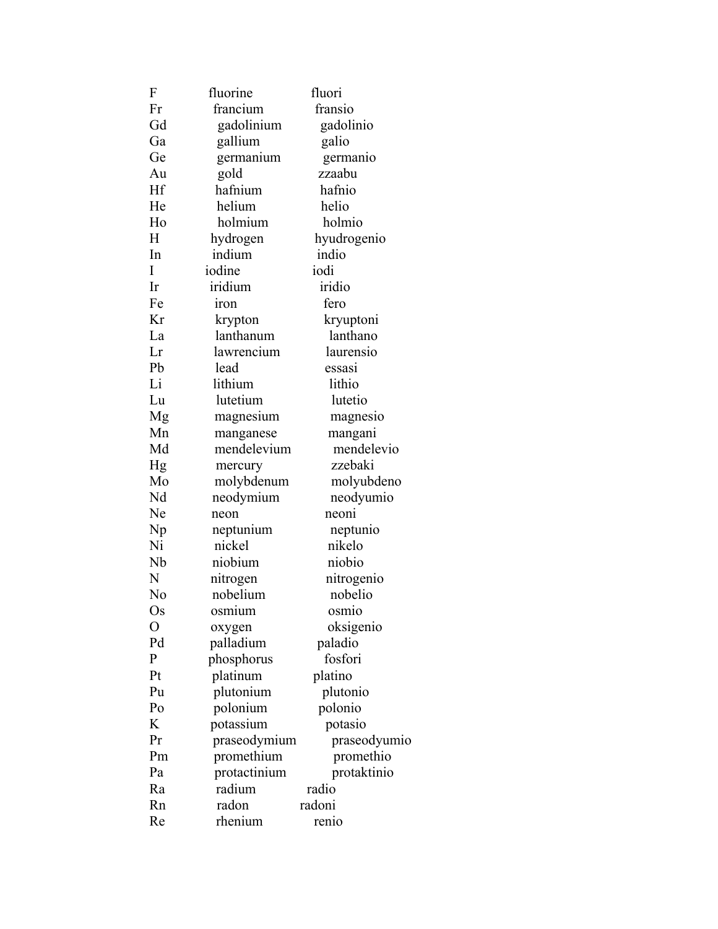| F            | fluorine     | fluori       |  |
|--------------|--------------|--------------|--|
| Fr           | francium     | fransio      |  |
| Gd           | gadolinium   | gadolinio    |  |
| Ga           | gallium      | galio        |  |
| Ge           | germanium    | germanio     |  |
| Au           | gold         | zzaabu       |  |
| Hf           | hafnium      | hafnio       |  |
| He           | helium       | helio        |  |
| Ho           | holmium      | holmio       |  |
| H            | hydrogen     | hyudrogenio  |  |
| In           | indium       | indio        |  |
| I            | iodine       | iodi         |  |
| Ir           | iridium      | iridio       |  |
| Fe           | <b>iron</b>  | fero         |  |
| Kr           | krypton      | kryuptoni    |  |
| La           | lanthanum    | lanthano     |  |
| Lr           | lawrencium   | laurensio    |  |
| Pb           | lead         | essası       |  |
| Li           | lithium      | lithio       |  |
| Lu           | lutetium     | lutetio      |  |
| Mg           | magnesium    | magnesio     |  |
| Mn           | manganese    | mangani      |  |
| Md           | mendelevium  | mendelevio   |  |
| Hg           | mercury      | zzebaki      |  |
| Mo           | molybdenum   | molyubdeno   |  |
| Nd           | neodymium    | neodyumio    |  |
| Ne           | neon         | neoni        |  |
| Np           | neptunium    | neptunio     |  |
| Ni           | nickel       | nikelo       |  |
| Nb           | niobium      | niobio       |  |
| N            | nitrogen     | nitrogenio   |  |
| No           | nobelium     | nobelio      |  |
| Os           | osmium       | osmio        |  |
| O            | oxygen       | oksigenio    |  |
| Pd           | palladium    | paladio      |  |
| $\mathbf{P}$ | phosphorus   | fosfori      |  |
| Pt           | platinum     | platino      |  |
| Pu           | plutonium    | plutonio     |  |
| Po           | polonium     | polonio      |  |
| K            | potassium    | potasio      |  |
| Pr           | praseodymium | praseodyumio |  |
| Pm           | promethium   | promethio    |  |
| Pa           | protactinium | protaktinio  |  |
| Ra           | radium       | radio        |  |
| Rn           | radon        | radoni       |  |
| Re           | rhenium      | renio        |  |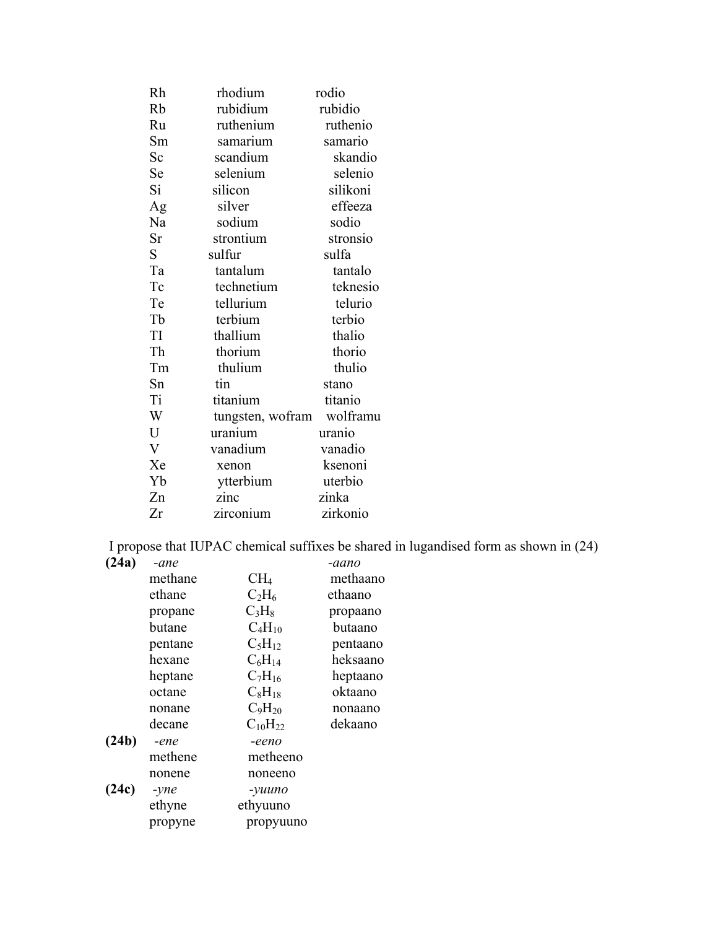| Rh                      | rhodium          | rodio    |
|-------------------------|------------------|----------|
| Rb                      | rubidium         | rubidio  |
| Ru                      | ruthenium        | ruthenio |
| Sm                      | samarium         | samario  |
| Sc                      | scandium         | skandio  |
| Se                      | selenium         | selenio  |
| Si                      | silicon          | silikoni |
| Ag                      | silver           | effeeza  |
| Na                      | sodium           | sodio    |
| Sr                      | strontium        | stronsio |
| $S_{\text{}}$           | sulfur           | sulfa    |
| Ta                      | tantalum         | tantalo  |
| Tc                      | technetium       | teknesio |
| Te                      | tellurium        | telurio  |
| Tb                      | terbium          | terbio   |
| TI                      | thallium         | thalio   |
| Th                      | thorium          | thorio   |
| Tm                      | thulium          | thulio   |
| Sn                      | tin              | stano    |
| Ti                      | titanium         | titanio  |
| W                       | tungsten, wofram | wolframu |
| U                       | uranium          | uranio   |
| $\overline{\mathsf{V}}$ | vanadium         | vanadio  |
| Xe                      | xenon            | ksenoni  |
| Yb                      | ytterbium        | uterbio  |
| Zn                      | zinc             | zinka    |
| Zr                      | zirconium        | zirkonio |

I propose that IUPAC chemical suffixes be shared in lugandised form as shown in (24)

| (24a) | -ane           |                 | -aano    |
|-------|----------------|-----------------|----------|
|       | methane        | CH <sub>4</sub> | methaano |
|       | ethane         | $C_2H_6$        | ethaano  |
|       | propane        | $C_3H_8$        | propaano |
|       | butane         | $C_4H_{10}$     | butaano  |
|       | pentane        | $C_5H_{12}$     | pentaano |
|       | hexane         | $C_6H_{14}$     | heksaano |
|       | heptane        | $C_7H_{16}$     | heptaano |
|       | octane         | $C_8H_{18}$     | oktaano  |
|       | nonane         | $C_9H_{20}$     | nonaano  |
|       | decane         | $C_{10}H_{22}$  | dekaano  |
| (24b) | -ene           | -eeno           |          |
|       | methene        | metheeno        |          |
|       | nonene         | noneeno         |          |
| (24c) | $-$ <i>yne</i> | -yuuno          |          |
|       | ethyne         | ethyuuno        |          |
|       | propyne        | propyuuno       |          |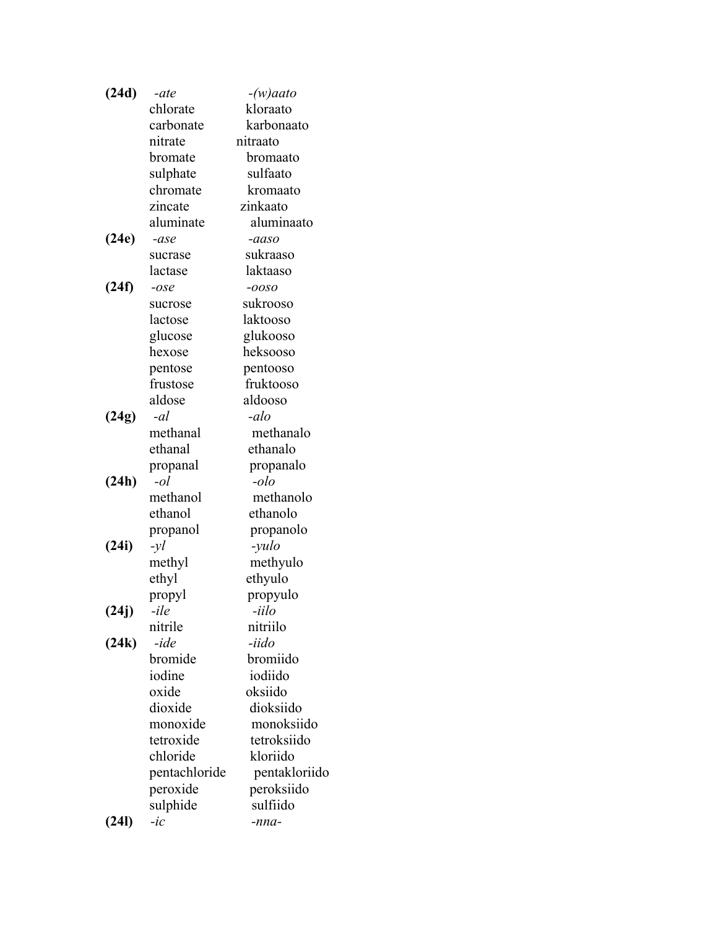| (24d) | -ate              | $-(w)$ aato                 |  |
|-------|-------------------|-----------------------------|--|
|       | chlorate          | kloraato                    |  |
|       | carbonate         | karbonaato                  |  |
|       | nitrate           | nitraato                    |  |
|       | bromate           | bromaato                    |  |
|       | sulphate          | sulfaato                    |  |
|       | chromate          | kromaato                    |  |
|       | zincate           | zinkaato                    |  |
|       | aluminate         | aluminaato                  |  |
| (24e) | -ase              | -aaso                       |  |
|       | sucrase           | sukraaso                    |  |
|       | lactase           | laktaaso                    |  |
| (24f) | $-ose$            | -0050                       |  |
|       | sucrose           | sukrooso                    |  |
|       | lactose           | laktooso                    |  |
|       | glucose           | glukooso                    |  |
|       | hexose            | heksooso                    |  |
|       | pentose           | pentooso                    |  |
|       | frustose          | fruktooso                   |  |
|       | aldose            | aldooso                     |  |
| (24g) | -al               | -alo                        |  |
|       | methanal          | methanalo                   |  |
|       | ethanal           | ethanalo                    |  |
|       | propanal          | propanalo                   |  |
| (24h) | $-ol$             | -olo                        |  |
|       | methanol          | methanolo                   |  |
|       | ethanol           | ethanolo                    |  |
|       | propanol          | propanolo                   |  |
| (24i) | $-yl$             | -yulo                       |  |
|       | methyl            | methyulo                    |  |
|       | ethyl             | ethyulo                     |  |
|       | propyl            | propyulo                    |  |
| (24j) | $-ile$            | -iilo                       |  |
|       | nitrile           | nitriilo                    |  |
| (24k) | -ide              | -iido<br>bromiido           |  |
|       | bromide<br>iodine | iodiido                     |  |
|       | oxide             | oksiido                     |  |
|       | dioxide           | dioksiido                   |  |
|       | monoxide          | monoksiido                  |  |
|       | tetroxide         | tetroksiido                 |  |
|       | chloride          | kloriido                    |  |
|       |                   |                             |  |
|       | pentachloride     | pentakloriido<br>peroksiido |  |
|       | peroxide          | sulfiido                    |  |
|       | sulphide          |                             |  |
| (24l) | $-i\mathfrak{c}$  | -nna-                       |  |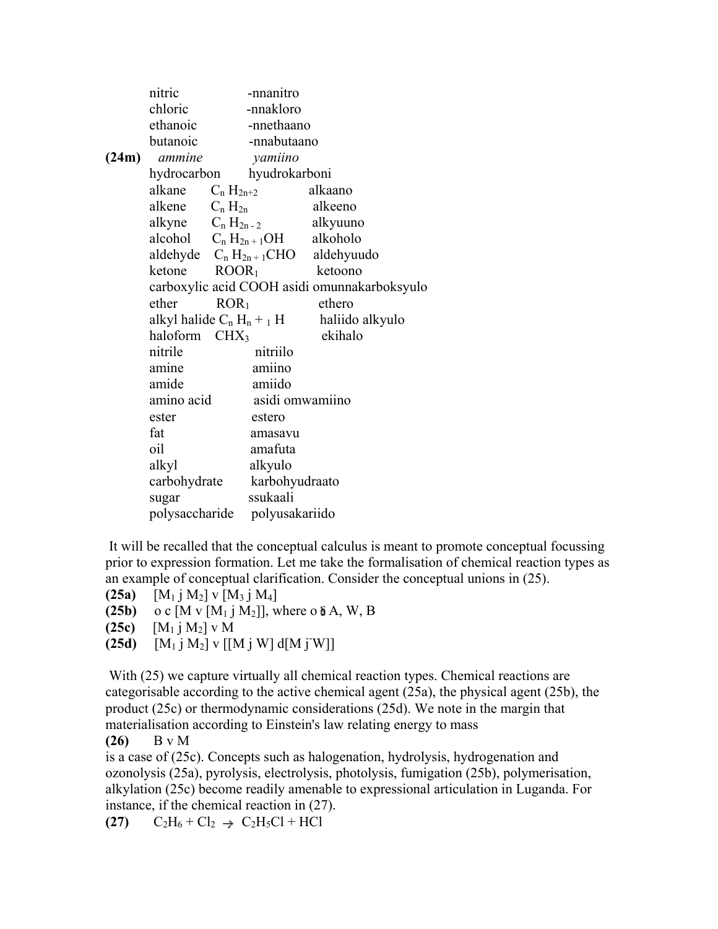|       | nitric                    |                  | -nnanitro                         |                                              |
|-------|---------------------------|------------------|-----------------------------------|----------------------------------------------|
|       | chloric                   |                  | -nnakloro                         |                                              |
|       | ethanoic                  |                  | -nnethaano                        |                                              |
|       | butanoic                  |                  | -nnabutaano                       |                                              |
| (24m) | ammine                    |                  | yamiino                           |                                              |
|       |                           |                  | hydrocarbon hyudrokarboni         |                                              |
|       | alkane                    | $C_n H_{2n+2}$   |                                   | alkaano                                      |
|       | alkene $C_n H_{2n}$       |                  |                                   | alkeeno                                      |
|       |                           |                  |                                   | alkyne $C_n H_{2n-2}$ alkyuuno               |
|       |                           |                  | alcohol $C_n H_{2n+1}OH$ alkoholo |                                              |
|       |                           |                  |                                   | aldehyde $C_n H_{2n+1}CHO$ aldehyuudo        |
|       | ketone                    |                  | $\text{ROOR}_1$                   | ketoono                                      |
|       |                           |                  |                                   | carboxylic acid COOH asidi omunnakarboksyulo |
|       | ether                     | ROR <sub>1</sub> |                                   | ethero                                       |
|       |                           |                  | alkyl halide $C_n H_n + _1 H$     | haliido alkyulo                              |
|       | haloform CHX <sub>3</sub> |                  |                                   | ekihalo                                      |
|       | nitrile                   |                  | nitriilo                          |                                              |
|       | amine                     |                  | amiino                            |                                              |
|       | amide                     |                  | amiido                            |                                              |
|       | amino acid                |                  | asidi omwamiino                   |                                              |
|       | ester                     |                  | estero                            |                                              |
|       | fat                       |                  | amasavu                           |                                              |
|       | oil                       |                  | amafuta                           |                                              |
|       | alkyl                     |                  | alkyulo                           |                                              |
|       | carbohydrate              |                  | karbohyudraato                    |                                              |
|       | sugar                     |                  | ssukaali                          |                                              |
|       | polysaccharide            |                  | polyusakariido                    |                                              |

 It will be recalled that the conceptual calculus is meant to promote conceptual focussing prior to expression formation. Let me take the formalisation of chemical reaction types as an example of conceptual clarification. Consider the conceptual unions in (25).

```
(25a) [M_1 \text{ j } M_2] v [M_3 \text{ j } M_4]
```

```
(25b) o c [M \vee [M_1 \wedge M_2]], where o \delta A, W, B
```

```
(25c) [M_1 j M_2] v M
```
**(25d)**  $[M_1 j M_2] v [[M j W] d[M j W]]$ 

With (25) we capture virtually all chemical reaction types. Chemical reactions are categorisable according to the active chemical agent (25a), the physical agent (25b), the product (25c) or thermodynamic considerations (25d). We note in the margin that materialisation according to Einstein's law relating energy to mass

```
(26) B v M
```
is a case of (25c). Concepts such as halogenation, hydrolysis, hydrogenation and ozonolysis (25a), pyrolysis, electrolysis, photolysis, fumigation (25b), polymerisation, alkylation (25c) become readily amenable to expressional articulation in Luganda. For instance, if the chemical reaction in (27).

**(27)**  $C_2H_6 + Cl_2 \rightarrow C_2H_5Cl + HCl$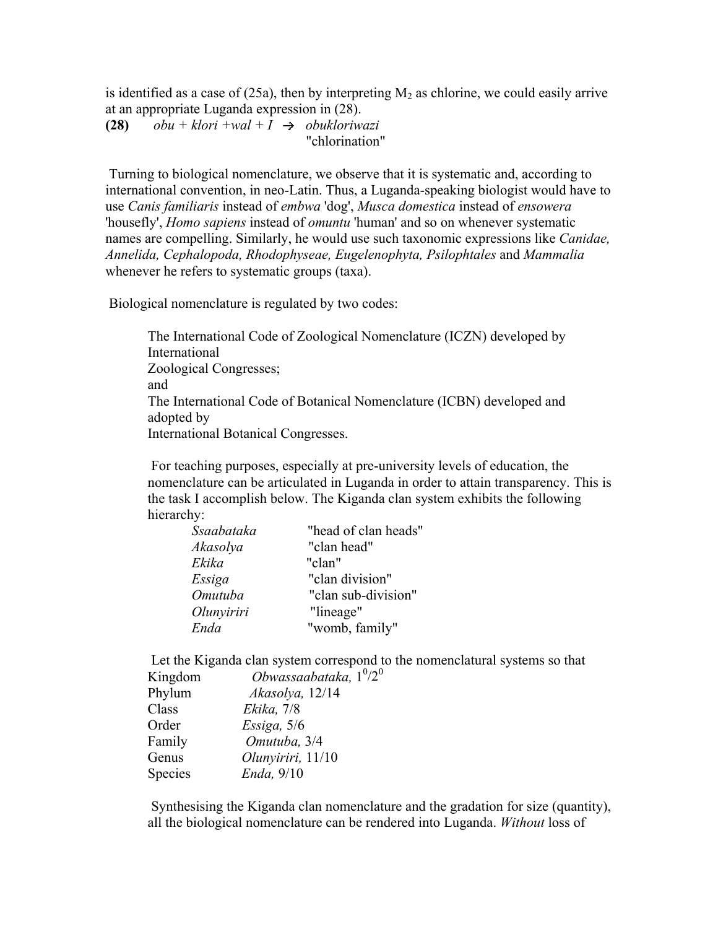is identified as a case of (25a), then by interpreting  $M_2$  as chlorine, we could easily arrive at an appropriate Luganda expression in (28).

**(28)**  $obu + klori + wal + I \rightarrow obukloriwazi$ "chlorination"

 Turning to biological nomenclature, we observe that it is systematic and, according to international convention, in neo-Latin. Thus, a Luganda-speaking biologist would have to use *Canis familiaris* instead of *embwa* 'dog', *Musca domestica* instead of *ensowera* 'housefly', *Homo sapiens* instead of *omuntu* 'human' and so on whenever systematic names are compelling. Similarly, he would use such taxonomic expressions like *Canidae, Annelida, Cephalopoda, Rhodophyseae, Eugelenophyta, Psilophtales* and *Mammalia* whenever he refers to systematic groups (taxa).

Biological nomenclature is regulated by two codes:

The International Code of Zoological Nomenclature (ICZN) developed by International Zoological Congresses; and The International Code of Botanical Nomenclature (ICBN) developed and adopted by International Botanical Congresses.

 For teaching purposes, especially at pre-university levels of education, the nomenclature can be articulated in Luganda in order to attain transparency. This is the task I accomplish below. The Kiganda clan system exhibits the following hierarchy:

| Ssaabataka | "head of clan heads" |
|------------|----------------------|
| Akasolya   | "clan head"          |
| Ekika      | "clan"               |
| Essiga     | "clan division"      |
| Omutuba    | "clan sub-division"  |
| Olunyiriri | "lineage"            |
| Enda       | "womb, family"       |

 Let the Kiganda clan system correspond to the nomenclatural systems so that Kingdom *Obwassaabataka*, 1<sup>0</sup>/2<sup>0</sup>

| Phylum  | Akasolya, 12/14   |
|---------|-------------------|
| Class   | Ekika, 7/8        |
| Order   | Essiga, $5/6$     |
| Family  | Omutuba, 3/4      |
| Genus   | Olunyiriri, 11/10 |
| Species | Enda, 9/10        |
|         |                   |

 Synthesising the Kiganda clan nomenclature and the gradation for size (quantity), all the biological nomenclature can be rendered into Luganda. *Without* loss of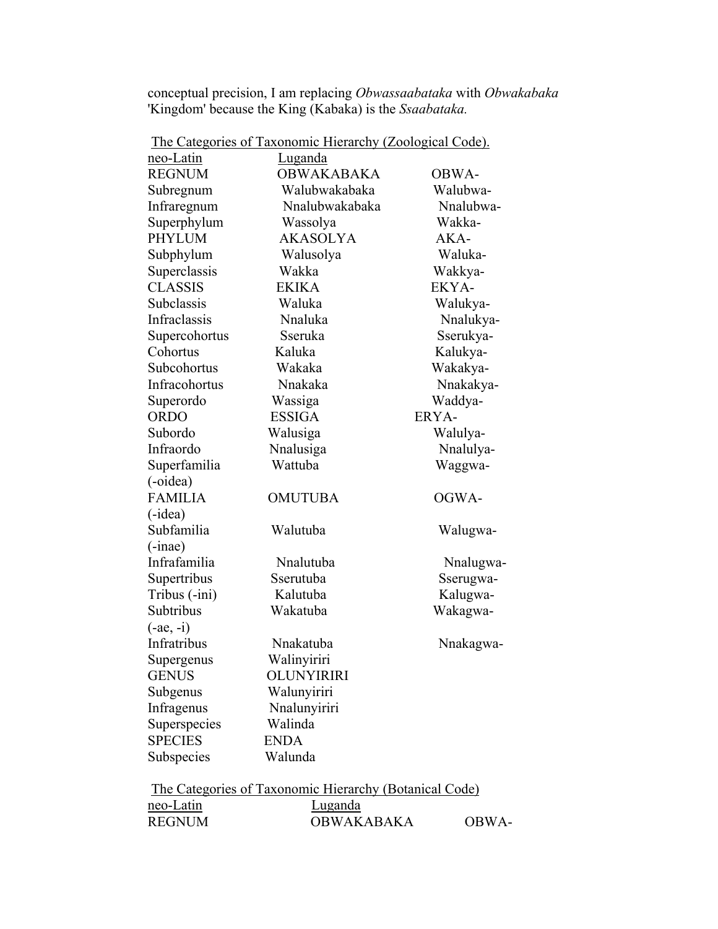conceptual precision, I am replacing *Obwassaabataka* with *Obwakabaka* 'Kingdom' because the King (Kabaka) is the *Ssaabataka.*

| <u>neo-Latin</u><br><u>Luganda</u><br><b>OBWAKABAKA</b><br><b>REGNUM</b><br>Walubwakabaka<br>Subregnum<br>Nnalubwakabaka<br>Infraregnum<br>Superphylum<br>Wassolya<br><b>PHYLUM</b><br><b>AKASOLYA</b><br>Subphylum<br>Walusolya<br>Superclassis<br>Wakka<br><b>CLASSIS</b><br><b>EKIKA</b><br>Subclassis<br>Waluka<br>Infraclassis<br>Nnaluka<br>Sseruka<br>Supercohortus<br>Cohortus<br>Kaluka<br>Subcohortus<br>Wakaka<br>Infracohortus<br>Nnakaka<br>Superordo<br>Wassiga<br><b>ORDO</b><br><b>ESSIGA</b><br>Subordo<br>Walusiga<br>Infraordo<br>Nnalusiga<br>Superfamilia<br>Wattuba<br>(-oidea) | OBWA-<br>Walubwa-<br>Nnalubwa-<br>Wakka- |
|-------------------------------------------------------------------------------------------------------------------------------------------------------------------------------------------------------------------------------------------------------------------------------------------------------------------------------------------------------------------------------------------------------------------------------------------------------------------------------------------------------------------------------------------------------------------------------------------------------|------------------------------------------|
|                                                                                                                                                                                                                                                                                                                                                                                                                                                                                                                                                                                                       |                                          |
|                                                                                                                                                                                                                                                                                                                                                                                                                                                                                                                                                                                                       |                                          |
|                                                                                                                                                                                                                                                                                                                                                                                                                                                                                                                                                                                                       |                                          |
|                                                                                                                                                                                                                                                                                                                                                                                                                                                                                                                                                                                                       |                                          |
|                                                                                                                                                                                                                                                                                                                                                                                                                                                                                                                                                                                                       | AKA-                                     |
|                                                                                                                                                                                                                                                                                                                                                                                                                                                                                                                                                                                                       |                                          |
|                                                                                                                                                                                                                                                                                                                                                                                                                                                                                                                                                                                                       | Waluka-                                  |
|                                                                                                                                                                                                                                                                                                                                                                                                                                                                                                                                                                                                       | Wakkya-                                  |
|                                                                                                                                                                                                                                                                                                                                                                                                                                                                                                                                                                                                       | EKYA-                                    |
|                                                                                                                                                                                                                                                                                                                                                                                                                                                                                                                                                                                                       | Walukya-                                 |
|                                                                                                                                                                                                                                                                                                                                                                                                                                                                                                                                                                                                       | Nnalukya-                                |
|                                                                                                                                                                                                                                                                                                                                                                                                                                                                                                                                                                                                       | Sserukya-                                |
|                                                                                                                                                                                                                                                                                                                                                                                                                                                                                                                                                                                                       | Kalukya-                                 |
|                                                                                                                                                                                                                                                                                                                                                                                                                                                                                                                                                                                                       | Wakakya-                                 |
|                                                                                                                                                                                                                                                                                                                                                                                                                                                                                                                                                                                                       | Nnakakya-                                |
|                                                                                                                                                                                                                                                                                                                                                                                                                                                                                                                                                                                                       | Waddya-                                  |
|                                                                                                                                                                                                                                                                                                                                                                                                                                                                                                                                                                                                       | ERYA-                                    |
|                                                                                                                                                                                                                                                                                                                                                                                                                                                                                                                                                                                                       | Walulya-                                 |
|                                                                                                                                                                                                                                                                                                                                                                                                                                                                                                                                                                                                       | Nnalulya-                                |
|                                                                                                                                                                                                                                                                                                                                                                                                                                                                                                                                                                                                       | Waggwa-                                  |
|                                                                                                                                                                                                                                                                                                                                                                                                                                                                                                                                                                                                       |                                          |
| <b>FAMILIA</b><br><b>OMUTUBA</b>                                                                                                                                                                                                                                                                                                                                                                                                                                                                                                                                                                      | OGWA-                                    |
| $(-idea)$                                                                                                                                                                                                                                                                                                                                                                                                                                                                                                                                                                                             |                                          |
| Subfamilia<br>Walutuba                                                                                                                                                                                                                                                                                                                                                                                                                                                                                                                                                                                | Walugwa-                                 |
| $(-inae)$                                                                                                                                                                                                                                                                                                                                                                                                                                                                                                                                                                                             |                                          |
| Infrafamilia<br>Nnalutuba                                                                                                                                                                                                                                                                                                                                                                                                                                                                                                                                                                             | Nnalugwa-                                |
| Supertribus<br>Sserutuba                                                                                                                                                                                                                                                                                                                                                                                                                                                                                                                                                                              | Sserugwa-                                |
| Tribus (-ini)<br>Kalutuba                                                                                                                                                                                                                                                                                                                                                                                                                                                                                                                                                                             | Kalugwa-                                 |
| Subtribus<br>Wakatuba                                                                                                                                                                                                                                                                                                                                                                                                                                                                                                                                                                                 | Wakagwa-                                 |
| $(-ae, -i)$                                                                                                                                                                                                                                                                                                                                                                                                                                                                                                                                                                                           |                                          |
| Infratribus<br>Nnakatuba                                                                                                                                                                                                                                                                                                                                                                                                                                                                                                                                                                              | Nnakagwa-                                |
| Walinyiriri<br>Supergenus                                                                                                                                                                                                                                                                                                                                                                                                                                                                                                                                                                             |                                          |
| <b>GENUS</b><br><b>OLUNYIRIRI</b>                                                                                                                                                                                                                                                                                                                                                                                                                                                                                                                                                                     |                                          |
| Subgenus<br>Walunyiriri                                                                                                                                                                                                                                                                                                                                                                                                                                                                                                                                                                               |                                          |
| Infragenus<br>Nnalunyiriri                                                                                                                                                                                                                                                                                                                                                                                                                                                                                                                                                                            |                                          |
| Superspecies<br>Walinda                                                                                                                                                                                                                                                                                                                                                                                                                                                                                                                                                                               |                                          |
| <b>SPECIES</b><br><b>ENDA</b>                                                                                                                                                                                                                                                                                                                                                                                                                                                                                                                                                                         |                                          |
| Walunda                                                                                                                                                                                                                                                                                                                                                                                                                                                                                                                                                                                               |                                          |
| Subspecies<br>The Categories of Taxonomic Hierarchy (Botanical Code)                                                                                                                                                                                                                                                                                                                                                                                                                                                                                                                                  |                                          |

The Categories of Taxonomic Hierarchy (Zoological Code).

|               | The Categories of Taxonomic Hierarchy (Botanical Code) |       |
|---------------|--------------------------------------------------------|-------|
| neo-Latin     | Luganda                                                |       |
| <b>REGNUM</b> | OBWAKABAKA                                             | OBWA- |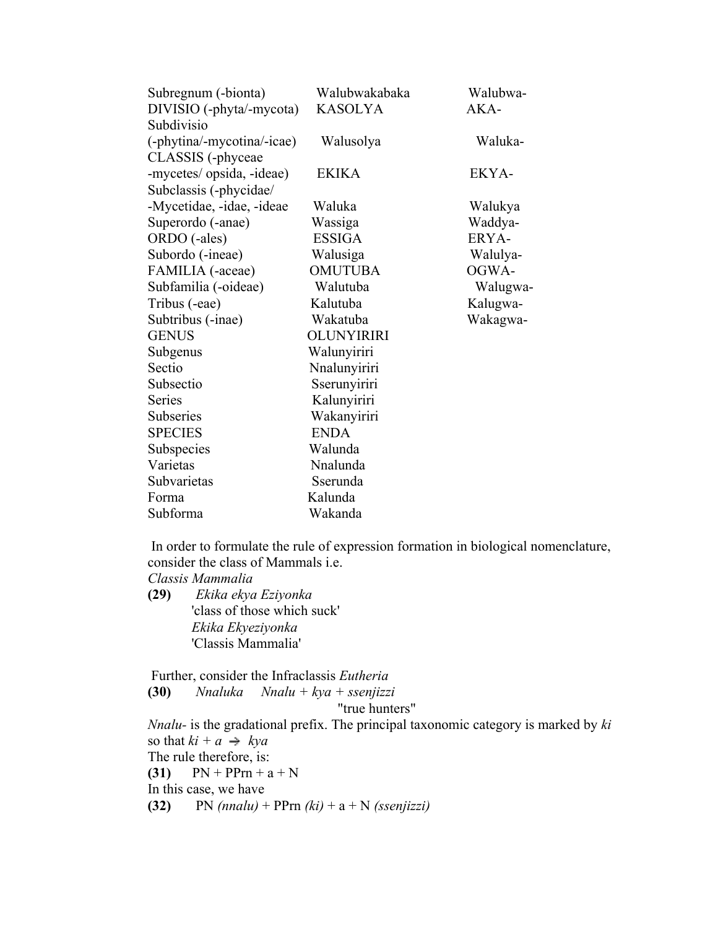| Subregnum (-bionta)        | Walubwakabaka  | Walubwa- |
|----------------------------|----------------|----------|
| DIVISIO (-phyta/-mycota)   | <b>KASOLYA</b> | AKA-     |
| Subdivisio                 |                |          |
| (-phytina/-mycotina/-icae) | Walusolya      | Waluka-  |
| CLASSIS (-phyceae          |                |          |
| -mycetes/ opsida, -ideae)  | <b>EKIKA</b>   | EKYA-    |
| Subclassis (-phycidae/     |                |          |
| -Mycetidae, -idae, -ideae  | Waluka         | Walukya  |
| Superordo (-anae)          | Wassiga        | Waddya-  |
| ORDO (-ales)               | <b>ESSIGA</b>  | ERYA-    |
| Subordo (-ineae)           | Walusiga       | Walulya- |
| FAMILIA (-aceae)           | <b>OMUTUBA</b> | OGWA-    |
| Subfamilia (-oideae)       | Walutuba       | Walugwa- |
| Tribus (-eae)              | Kalutuba       | Kalugwa- |
| Subtribus (-inae)          | Wakatuba       | Wakagwa- |
| <b>GENUS</b>               | OLUNYIRIRI     |          |
| Subgenus                   | Walunyiriri    |          |
| Sectio                     | Nnalunyiriri   |          |
| Subsectio                  | Sserunyiriri   |          |
| <b>Series</b>              | Kalunyiriri    |          |
| <b>Subseries</b>           | Wakanyiriri    |          |
| <b>SPECIES</b>             | <b>ENDA</b>    |          |
| Subspecies                 | Walunda        |          |
| Varietas                   | Nnalunda       |          |
| Subvarietas                | Sserunda       |          |
| Forma                      | Kalunda        |          |
| Subforma                   | Wakanda        |          |

 In order to formulate the rule of expression formation in biological nomenclature, consider the class of Mammals i.e.

*Classis Mammalia*

**(29)** *Ekika ekya Eziyonka* 'class of those which suck' *Ekika Ekyeziyonka* 'Classis Mammalia'

 Further, consider the Infraclassis *Eutheria* **(30)** *Nnaluka Nnalu + kya + ssenjizzi* "true hunters" *Nnalu-* is the gradational prefix. The principal taxonomic category is marked by *ki* so that  $ki + a \rightarrow kya$ The rule therefore, is: **(31)**  $PN + PPrn + a + N$ In this case, we have **(32)** PN *(nnalu)* + PPrn *(ki)* + a + N *(ssenjizzi)*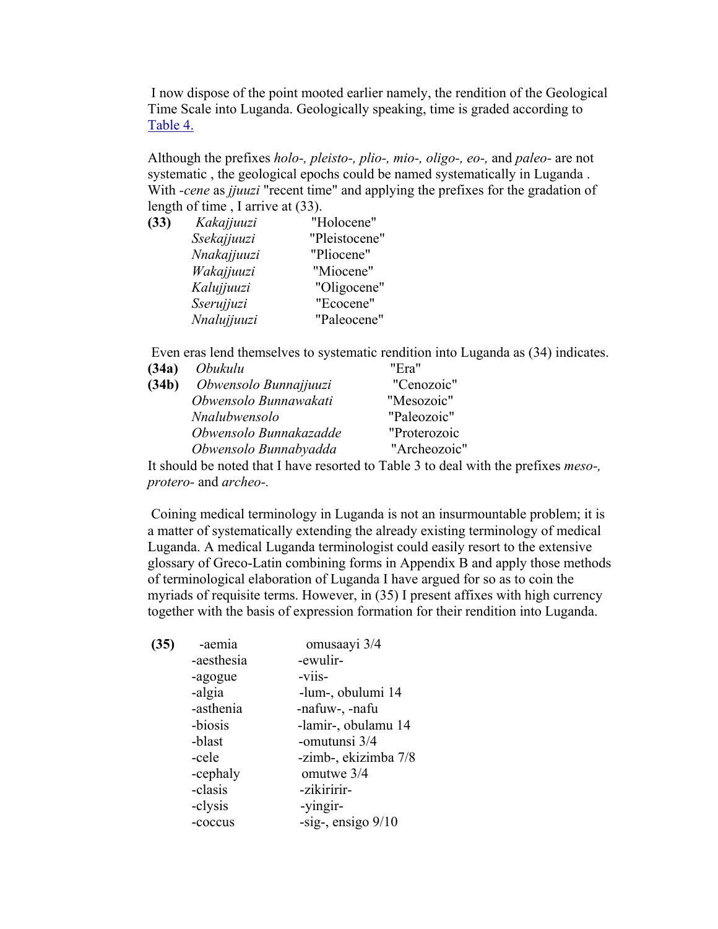I now dispose of the point mooted earlier namely, the rendition of the Geological Time Scale into Luganda. Geologically speaking, time is graded according to Table 4.

Although the prefixes *holo-, pleisto-, plio-, mio-, oligo-, eo-,* and *paleo-* are not systematic , the geological epochs could be named systematically in Luganda . With *-cene* as *jjuuzi* "recent time" and applying the prefixes for the gradation of length of time , I arrive at (33).

| (33) | Kakajjuuzi  | "Holocene"    |
|------|-------------|---------------|
|      | Ssekajjuuzi | "Pleistocene" |
|      | Nnakajjuuzi | "Pliocene"    |
|      | Wakajjuuzi  | "Miocene"     |
|      | Kalujjuuzi  | "Oligocene"   |
|      | Sserujjuzi  | "Ecocene"     |
|      | Nnalujjuuzi | "Paleocene"   |

Even eras lend themselves to systematic rendition into Luganda as (34) indicates.

| (34a) | Obukulu                | "Era"        |  |
|-------|------------------------|--------------|--|
| (34b) | Obwensolo Bunnajjuuzi  | "Cenozoic"   |  |
|       | Obwensolo Bunnawakati  | "Mesozoic"   |  |
|       | Nnalubwensolo          | "Paleozoic"  |  |
|       | Obwensolo Bunnakazadde | "Proterozoic |  |
|       | Obwensolo Bunnabyadda  | "Archeozoic" |  |
|       |                        |              |  |

It should be noted that I have resorted to Table 3 to deal with the prefixes *meso-, protero-* and *archeo-.*

 Coining medical terminology in Luganda is not an insurmountable problem; it is a matter of systematically extending the already existing terminology of medical Luganda. A medical Luganda terminologist could easily resort to the extensive glossary of Greco-Latin combining forms in Appendix B and apply those methods of terminological elaboration of Luganda I have argued for so as to coin the myriads of requisite terms. However, in (35) I present affixes with high currency together with the basis of expression formation for their rendition into Luganda.

| (35) | -aemia     | omusaayi 3/4         |
|------|------------|----------------------|
|      | -aesthesia | -ewulir-             |
|      | -agogue    | -viis-               |
|      | -algia     | -lum-, obulumi 14    |
|      | -asthenia  | -nafuw-, -nafu       |
|      | -biosis    | -lamir-, obulamu 14  |
|      | -blast     | -omutunsi 3/4        |
|      | -cele      | -zimb-, ekizimba 7/8 |
|      | -cephaly   | omutwe 3/4           |
|      | -clasis    | -zikiririr-          |
|      | -clysis    | -yingir-             |
|      | -coccus    | -sig-, ensigo $9/10$ |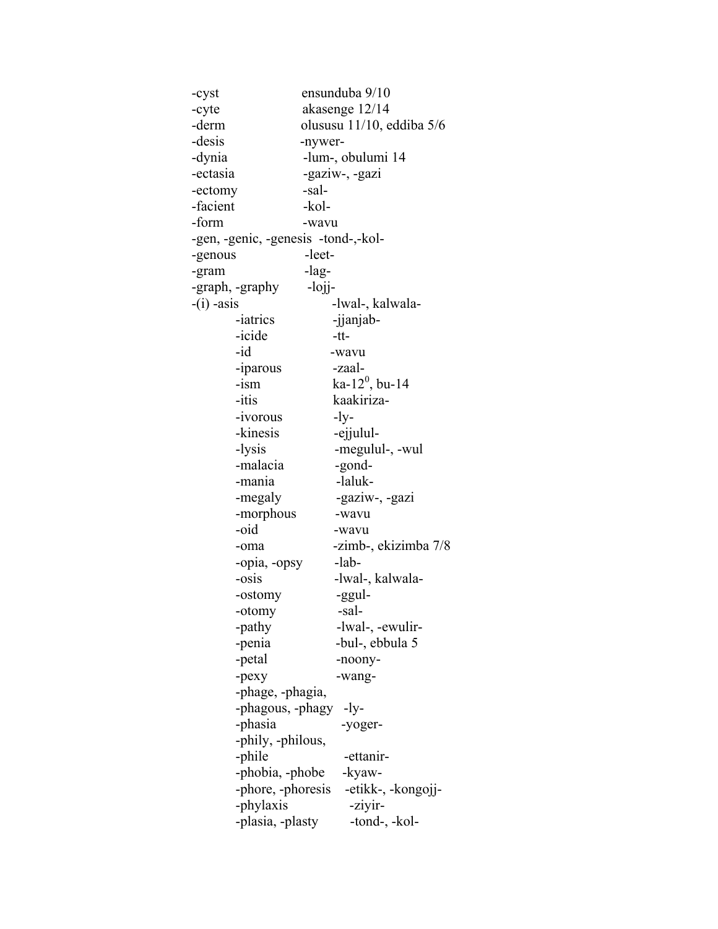-cyst ensunduba 9/10 -cyte akasenge 12/14 -derm olususu 11/10, eddiba 5/6 -desis -nywer- -dynia -lum-, obulumi 14 -ectasia -gaziw-, -gazi -ectomy -sal- -facient -kol--form -wavu -gen, -genic, -genesis -tond-,-kol- -genous -leet--gram -lag--graph, -graphy -lojj--(i) -asis -lwal-, kalwala- -iatrics -jianjab--icide -tt- -id -wavu -iparous -zaal-  $-$ ism ka-12<sup>0</sup>, bu-14 -itis kaakiriza- -ivorous -ly- -kinesis -ejjulul--lysis -megulul-, -wul -malacia -gond--mania -laluk--megaly -gaziw-, -gazi -morphous -wavu -oid -wavu -oma -zimb-, ekizimba 7/8 -opia, -opsy -lab- -osis -lwal-, kalwala- -ostomy -ggul- -otomy -sal- -pathy -lwal-, -ewulir- -penia -bul-, ebbula 5 -petal -noony--pexy -wang- -phage, -phagia, -phagous, -phagy -ly- -phasia -yoger- -phily, -philous, -phile -ettanir--phobia, -phobe -kyaw- -phore, -phoresis -etikk-, -kongojj- -phylaxis -ziyir--plasia, -plasty -tond-, -kol-